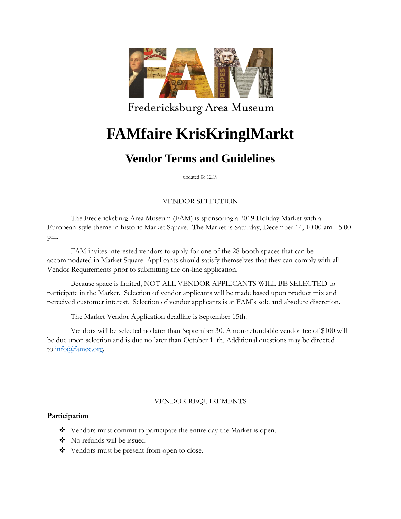

Fredericksburg Area Museum

# **FAMfaire KrisKringlMarkt**

# **Vendor Terms and Guidelines**

updated 08.12.19

## VENDOR SELECTION

The Fredericksburg Area Museum (FAM) is sponsoring a 2019 Holiday Market with a European-style theme in historic Market Square. The Market is Saturday, December 14, 10:00 am - 5:00 pm.

FAM invites interested vendors to apply for one of the 28 booth spaces that can be accommodated in Market Square. Applicants should satisfy themselves that they can comply with all Vendor Requirements prior to submitting the on-line application.

Because space is limited, NOT ALL VENDOR APPLICANTS WILL BE SELECTED to participate in the Market. Selection of vendor applicants will be made based upon product mix and perceived customer interest. Selection of vendor applicants is at FAM's sole and absolute discretion.

The Market Vendor Application deadline is September 15th.

Vendors will be selected no later than September 30. A non-refundable vendor fee of \$100 will be due upon selection and is due no later than October 11th. Additional questions may be directed to [info@famcc.org.](mailto:info@famcc.org)

#### VENDOR REQUIREMENTS

#### **Participation**

- Vendors must commit to participate the entire day the Market is open.
- No refunds will be issued.
- \* Vendors must be present from open to close.